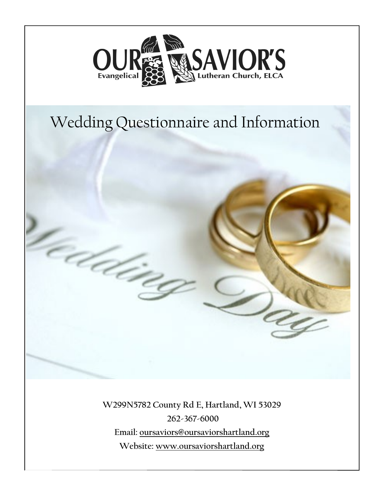

# Wedding Questionnaire and Information

é de j

**W299N5782 County Rd E, Hartland, WI 53029 262-367-6000 Email: oursaviors@oursaviorshartland.org Website: www.oursaviorshartland.org**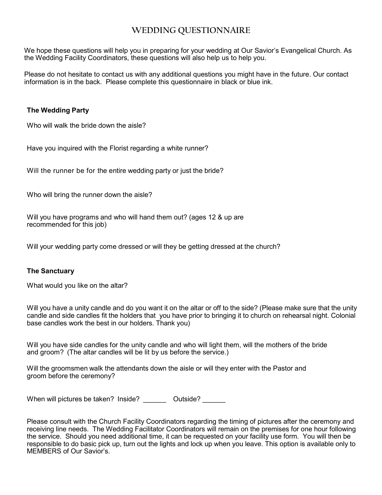### **WEDDING QUESTIONNAIRE**

We hope these questions will help you in preparing for your wedding at Our Savior's Evangelical Church. As the Wedding Facility Coordinators, these questions will also help us to help you.

Please do not hesitate to contact us with any additional questions you might have in the future. Our contact information is in the back. Please complete this questionnaire in black or blue ink.

#### **The Wedding Party**

Who will walk the bride down the aisle?

Have you inquired with the Florist regarding a white runner?

Will the runner be for the entire wedding party or just the bride?

Who will bring the runner down the aisle?

Will you have programs and who will hand them out? (ages 12 & up are recommended for this job)

Will your wedding party come dressed or will they be getting dressed at the church?

#### **The Sanctuary**

What would you like on the altar?

Will you have a unity candle and do you want it on the altar or off to the side? (Please make sure that the unity candle and side candles fit the holders that you have prior to bringing it to church on rehearsal night. Colonial base candles work the best in our holders. Thank you)

Will you have side candles for the unity candle and who will light them, will the mothers of the bride and groom? (The altar candles will be lit by us before the service.)

Will the groomsmen walk the attendants down the aisle or will they enter with the Pastor and groom before the ceremony?

When will pictures be taken? Inside? Dutside?

Please consult with the Church Facility Coordinators regarding the timing of pictures after the ceremony and receiving line needs. The Wedding Facilitator Coordinators will remain on the premises for one hour following the service. Should you need additional time, it can be requested on your facility use form. You will then be responsible to do basic pick up, turn out the lights and lock up when you leave. This option is available only to MEMBERS of Our Savior's.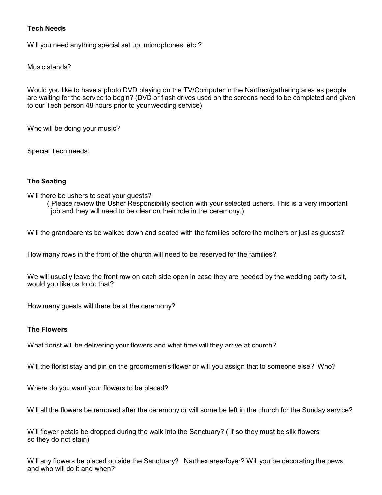#### **Tech Needs**

Will you need anything special set up, microphones, etc.?

Music stands?

Would you like to have a photo DVD playing on the TV/Computer in the Narthex/gathering area as people are waiting for the service to begin? (DVD or flash drives used on the screens need to be completed and given to our Tech person 48 hours prior to your wedding service)

Who will be doing your music?

Special Tech needs:

#### **The Seating**

Will there be ushers to seat your guests?

( Please review the Usher Responsibility section with your selected ushers. This is a very important job and they will need to be clear on their role in the ceremony.)

Will the grandparents be walked down and seated with the families before the mothers or just as guests?

How many rows in the front of the church will need to be reserved for the families?

We will usually leave the front row on each side open in case they are needed by the wedding party to sit, would you like us to do that?

How many guests will there be at the ceremony?

#### **The Flowers**

What florist will be delivering your flowers and what time will they arrive at church?

Will the florist stay and pin on the groomsmen's flower or will you assign that to someone else? Who?

Where do you want your flowers to be placed?

Will all the flowers be removed after the ceremony or will some be left in the church for the Sunday service?

Will flower petals be dropped during the walk into the Sanctuary? ( If so they must be silk flowers so they do not stain)

Will any flowers be placed outside the Sanctuary? Narthex area/foyer? Will you be decorating the pews and who will do it and when?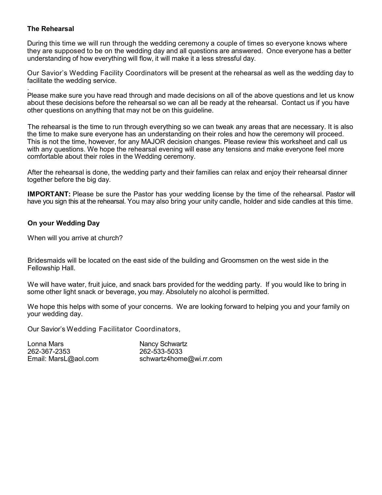#### **The Rehearsal**

During this time we will run through the wedding ceremony a couple of times so everyone knows where they are supposed to be on the wedding day and all questions are answered. Once everyone has a better understanding of how everything will flow, it will make it a less stressful day.

Our Savior's Wedding Facility Coordinators will be present at the rehearsal as well as the wedding day to facilitate the wedding service.

. Please make sure you have read through and made decisions on all of the above questions and let us know about these decisions before the rehearsal so we can all be ready at the rehearsal. Contact us if you have other questions on anything that may not be on this guideline.

The rehearsal is the time to run through everything so we can tweak any areas that are necessary. It is also the time to make sure everyone has an understanding on their roles and how the ceremony will proceed. This is not the time, however, for any MAJOR decision changes. Please review this worksheet and call us with any questions. We hope the rehearsal evening will ease any tensions and make everyone feel more comfortable about their roles in the Wedding ceremony.

After the rehearsal is done, the wedding party and their families can relax and enjoy their rehearsal dinner together before the big day.

**IMPORTANT:** Please be sure the Pastor has your wedding license by the time of the rehearsal. Pastor will have you sign this at the rehearsal. You may also bring your unity candle, holder and side candles at this time.

#### **On your Wedding Day**

When will you arrive at church?

Bridesmaids will be located on the east side of the building and Groomsmen on the west side in the Fellowship Hall.

We will have water, fruit juice, and snack bars provided for the wedding party. If you would like to bring in some other light snack or beverage, you may. Absolutely no alcohol is permitted.

We hope this helps with some of your concerns. We are looking forward to helping you and your family on your wedding day.

Our Savior's Wedding Facilitator Coordinators,

Lonna Mars Nancy Schwartz 262-367-2353 262-533-5033

Email: MarsL@aol.com schwartz4home@wi.rr.com